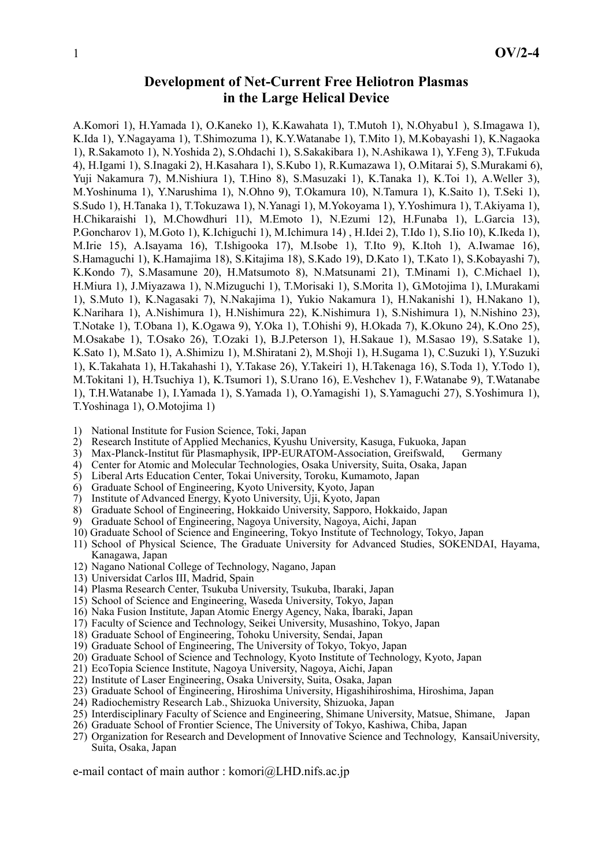## **Development of Net-Current Free Heliotron Plasmas in the Large Helical Device**

A.Komori 1), H.Yamada 1), O.Kaneko 1), K.Kawahata 1), T.Mutoh 1), N.Ohyabu1 ), S.Imagawa 1), K.Ida 1), Y.Nagayama 1), T.Shimozuma 1), K.Y.Watanabe 1), T.Mito 1), M.Kobayashi 1), K.Nagaoka 1), R.Sakamoto 1), N.Yoshida 2), S.Ohdachi 1), S.Sakakibara 1), N.Ashikawa 1), Y.Feng 3), T.Fukuda 4), H.Igami 1), S.Inagaki 2), H.Kasahara 1), S.Kubo 1), R.Kumazawa 1), O.Mitarai 5), S.Murakami 6), Yuji Nakamura 7), M.Nishiura 1), T.Hino 8), S.Masuzaki 1), K.Tanaka 1), K.Toi 1), A.Weller 3), M.Yoshinuma 1), Y.Narushima 1), N.Ohno 9), T.Okamura 10), N.Tamura 1), K.Saito 1), T.Seki 1), S.Sudo 1), H.Tanaka 1), T.Tokuzawa 1), N.Yanagi 1), M.Yokoyama 1), Y.Yoshimura 1), T.Akiyama 1), H.Chikaraishi 1), M.Chowdhuri 11), M.Emoto 1), N.Ezumi 12), H.Funaba 1), L.Garcia 13), P.Goncharov 1), M.Goto 1), K.Ichiguchi 1), M.Ichimura 14) , H.Idei 2), T.Ido 1), S.Iio 10), K.Ikeda 1), M.Irie 15), A.Isayama 16), T.Ishigooka 17), M.Isobe 1), T.Ito 9), K.Itoh 1), A.Iwamae 16), S.Hamaguchi 1), K.Hamajima 18), S.Kitajima 18), S.Kado 19), D.Kato 1), T.Kato 1), S.Kobayashi 7), K.Kondo 7), S.Masamune 20), H.Matsumoto 8), N.Matsunami 21), T.Minami 1), C.Michael 1), H.Miura 1), J.Miyazawa 1), N.Mizuguchi 1), T.Morisaki 1), S.Morita 1), G.Motojima 1), I.Murakami 1), S.Muto 1), K.Nagasaki 7), N.Nakajima 1), Yukio Nakamura 1), H.Nakanishi 1), H.Nakano 1), K.Narihara 1), A.Nishimura 1), H.Nishimura 22), K.Nishimura 1), S.Nishimura 1), N.Nishino 23), T.Notake 1), T.Obana 1), K.Ogawa 9), Y.Oka 1), T.Ohishi 9), H.Okada 7), K.Okuno 24), K.Ono 25), M.Osakabe 1), T.Osako 26), T.Ozaki 1), B.J.Peterson 1), H.Sakaue 1), M.Sasao 19), S.Satake 1), K.Sato 1), M.Sato 1), A.Shimizu 1), M.Shiratani 2), M.Shoji 1), H.Sugama 1), C.Suzuki 1), Y.Suzuki 1), K.Takahata 1), H.Takahashi 1), Y.Takase 26), Y.Takeiri 1), H.Takenaga 16), S.Toda 1), Y.Todo 1), M.Tokitani 1), H.Tsuchiya 1), K.Tsumori 1), S.Urano 16), E.Veshchev 1), F.Watanabe 9), T.Watanabe 1), T.H.Watanabe 1), I.Yamada 1), S.Yamada 1), O.Yamagishi 1), S.Yamaguchi 27), S.Yoshimura 1), T.Yoshinaga 1), O.Motojima 1)

- 1) National Institute for Fusion Science, Toki, Japan
- 2) Research Institute of Applied Mechanics, Kyushu University, Kasuga, Fukuoka, Japan
- 3) Max-Planck-Institut für Plasmaphysik, IPP-EURATOM-Association, Greifswald, Germany
- 4) Center for Atomic and Molecular Technologies, Osaka University, Suita, Osaka, Japan
- 5) Liberal Arts Education Center, Tokai University, Toroku, Kumamoto, Japan
- 6) Graduate School of Engineering, Kyoto University, Kyoto, Japan
- 7) Institute of Advanced Energy, Kyoto University, Uji, Kyoto, Japan
- 8) Graduate School of Engineering, Hokkaido University, Sapporo, Hokkaido, Japan
- 9) Graduate School of Engineering, Nagoya University, Nagoya, Aichi, Japan
- 10) Graduate School of Science and Engineering, Tokyo Institute of Technology, Tokyo, Japan
- 11) School of Physical Science, The Graduate University for Advanced Studies, SOKENDAI, Hayama, Kanagawa, Japan
- 12) Nagano National College of Technology, Nagano, Japan
- 13) Universidat Carlos III, Madrid, Spain
- 14) Plasma Research Center, Tsukuba University, Tsukuba, Ibaraki, Japan
- 15) School of Science and Engineering, Waseda University, Tokyo, Japan
- 16) Naka Fusion Institute, Japan Atomic Energy Agency, Naka, Ibaraki, Japan
- 17) Faculty of Science and Technology, Seikei University, Musashino, Tokyo, Japan
- 18) Graduate School of Engineering, Tohoku University, Sendai, Japan
- 19) Graduate School of Engineering, The University of Tokyo, Tokyo, Japan
- 20) Graduate School of Science and Technology, Kyoto Institute of Technology, Kyoto, Japan
- 21) EcoTopia Science Institute, Nagoya University, Nagoya, Aichi, Japan
- 22) Institute of Laser Engineering, Osaka University, Suita, Osaka, Japan
- 23) Graduate School of Engineering, Hiroshima University, Higashihiroshima, Hiroshima, Japan
- 24) Radiochemistry Research Lab., Shizuoka University, Shizuoka, Japan
- 25) Interdisciplinary Faculty of Science and Engineering, Shimane University, Matsue, Shimane, Japan
- 26) Graduate School of Frontier Science, The University of Tokyo, Kashiwa, Chiba, Japan
- 27) Organization for Research and Development of Innovative Science and Technology, KansaiUniversity, Suita, Osaka, Japan

e-mail contact of main author : komori@LHD.nifs.ac.jp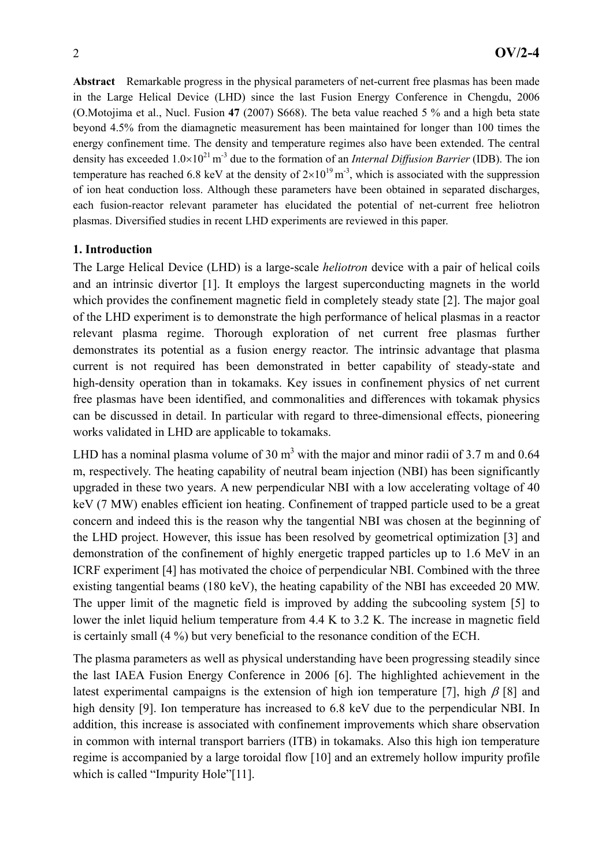**Abstract** Remarkable progress in the physical parameters of net-current free plasmas has been made in the Large Helical Device (LHD) since the last Fusion Energy Conference in Chengdu, 2006 (O.Motojima et al., Nucl. Fusion **47** (2007) S668). The beta value reached 5 % and a high beta state beyond 4.5% from the diamagnetic measurement has been maintained for longer than 100 times the energy confinement time. The density and temperature regimes also have been extended. The central density has exceeded  $1.0\times10^{21}$  m<sup>-3</sup> due to the formation of an *Internal Diffusion Barrier* (IDB). The ion temperature has reached 6.8 keV at the density of  $2\times10^{19}$  m<sup>-3</sup>, which is associated with the suppression of ion heat conduction loss. Although these parameters have been obtained in separated discharges, each fusion-reactor relevant parameter has elucidated the potential of net-current free heliotron plasmas. Diversified studies in recent LHD experiments are reviewed in this paper.

#### **1. Introduction**

The Large Helical Device (LHD) is a large-scale *heliotron* device with a pair of helical coils and an intrinsic divertor [1]. It employs the largest superconducting magnets in the world which provides the confinement magnetic field in completely steady state [2]. The major goal of the LHD experiment is to demonstrate the high performance of helical plasmas in a reactor relevant plasma regime. Thorough exploration of net current free plasmas further demonstrates its potential as a fusion energy reactor. The intrinsic advantage that plasma current is not required has been demonstrated in better capability of steady-state and high-density operation than in tokamaks. Key issues in confinement physics of net current free plasmas have been identified, and commonalities and differences with tokamak physics can be discussed in detail. In particular with regard to three-dimensional effects, pioneering works validated in LHD are applicable to tokamaks.

LHD has a nominal plasma volume of 30  $m<sup>3</sup>$  with the major and minor radii of 3.7 m and 0.64 m, respectively. The heating capability of neutral beam injection (NBI) has been significantly upgraded in these two years. A new perpendicular NBI with a low accelerating voltage of 40 keV (7 MW) enables efficient ion heating. Confinement of trapped particle used to be a great concern and indeed this is the reason why the tangential NBI was chosen at the beginning of the LHD project. However, this issue has been resolved by geometrical optimization [3] and demonstration of the confinement of highly energetic trapped particles up to 1.6 MeV in an ICRF experiment [4] has motivated the choice of perpendicular NBI. Combined with the three existing tangential beams (180 keV), the heating capability of the NBI has exceeded 20 MW. The upper limit of the magnetic field is improved by adding the subcooling system [5] to lower the inlet liquid helium temperature from 4.4 K to 3.2 K. The increase in magnetic field is certainly small (4 %) but very beneficial to the resonance condition of the ECH.

The plasma parameters as well as physical understanding have been progressing steadily since the last IAEA Fusion Energy Conference in 2006 [6]. The highlighted achievement in the latest experimental campaigns is the extension of high ion temperature [7], high  $\beta$  [8] and high density [9]. Ion temperature has increased to 6.8 keV due to the perpendicular NBI. In addition, this increase is associated with confinement improvements which share observation in common with internal transport barriers (ITB) in tokamaks. Also this high ion temperature regime is accompanied by a large toroidal flow [10] and an extremely hollow impurity profile which is called "Impurity Hole"[11].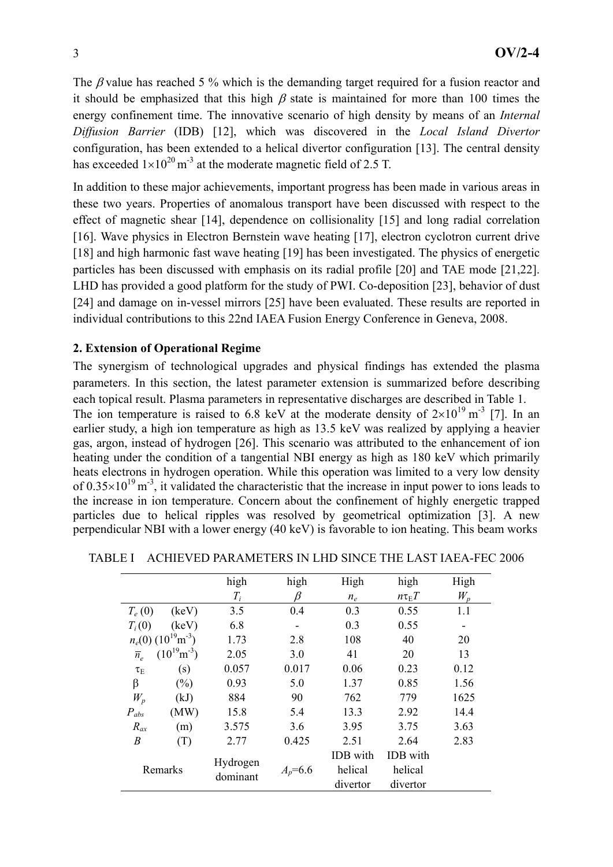The  $\beta$  value has reached 5 % which is the demanding target required for a fusion reactor and it should be emphasized that this high  $\beta$  state is maintained for more than 100 times the energy confinement time. The innovative scenario of high density by means of an *Internal Diffusion Barrier* (IDB) [12], which was discovered in the *Local Island Divertor* configuration, has been extended to a helical divertor configuration [13]. The central density has exceeded  $1\times10^{20}$  m<sup>-3</sup> at the moderate magnetic field of 2.5 T.

In addition to these major achievements, important progress has been made in various areas in these two years. Properties of anomalous transport have been discussed with respect to the effect of magnetic shear [14], dependence on collisionality [15] and long radial correlation [16]. Wave physics in Electron Bernstein wave heating [17], electron cyclotron current drive [18] and high harmonic fast wave heating [19] has been investigated. The physics of energetic particles has been discussed with emphasis on its radial profile [20] and TAE mode [21,22]. LHD has provided a good platform for the study of PWI. Co-deposition [23], behavior of dust [24] and damage on in-vessel mirrors [25] have been evaluated. These results are reported in individual contributions to this 22nd IAEA Fusion Energy Conference in Geneva, 2008.

### **2. Extension of Operational Regime**

The synergism of technological upgrades and physical findings has extended the plasma parameters. In this section, the latest parameter extension is summarized before describing each topical result. Plasma parameters in representative discharges are described in Table 1. The ion temperature is raised to 6.8 keV at the moderate density of  $2\times10^{19}$  m<sup>-3</sup> [7]. In an earlier study, a high ion temperature as high as 13.5 keV was realized by applying a heavier gas, argon, instead of hydrogen [26]. This scenario was attributed to the enhancement of ion heating under the condition of a tangential NBI energy as high as 180 keV which primarily heats electrons in hydrogen operation. While this operation was limited to a very low density of  $0.35 \times 10^{19}$  m<sup>-3</sup>, it validated the characteristic that the increase in input power to ions leads to the increase in ion temperature. Concern about the confinement of highly energetic trapped particles due to helical ripples was resolved by geometrical optimization [3]. A new perpendicular NBI with a lower energy (40 keV) is favorable to ion heating. This beam works

|                    |                                    | high                 | high        | High     | high             | High  |
|--------------------|------------------------------------|----------------------|-------------|----------|------------------|-------|
|                    |                                    | $T_i$                | ß           | $n_e$    | $n\tau_{\rm E}T$ | $W_p$ |
| $T_e(0)$           | (keV)                              | 3.5                  | 0.4         | 0.3      | 0.55             | 1.1   |
| $T_i(0)$           | (keV)                              | 6.8                  |             | 0.3      | 0.55             |       |
|                    | $n_e(0)$ $(10^{19} \text{m}^{-3})$ | 1.73                 | 2.8         | 108      | 40               | 20    |
| $\overline{n}_{e}$ | $(10^{19} \text{m}^{-3})$          | 2.05                 | 3.0         | 41       | 20               | 13    |
| $\tau_{\rm E}$     | (s)                                | 0.057                | 0.017       | 0.06     | 0.23             | 0.12  |
| β                  | (%)                                | 0.93                 | 5.0         | 1.37     | 0.85             | 1.56  |
| $W_p$              | (kJ)                               | 884                  | 90          | 762      | 779              | 1625  |
| $P_{abs}$          | (MW)                               | 15.8                 | 5.4         | 13.3     | 2.92             | 14.4  |
| $R_{ax}$           | (m)                                | 3.575                | 3.6         | 3.95     | 3.75             | 3.63  |
| $\boldsymbol{B}$   | (T)                                | 2.77                 | 0.425       | 2.51     | 2.64             | 2.83  |
| Remarks            |                                    | Hydrogen<br>dominant | $A_p = 6.6$ | IDB with | <b>IDB</b> with  |       |
|                    |                                    |                      |             | helical  | helical          |       |
|                    |                                    |                      |             | divertor | divertor         |       |

TABLE I ACHIEVED PARAMETERS IN LHD SINCE THE LAST IAEA-FEC 2006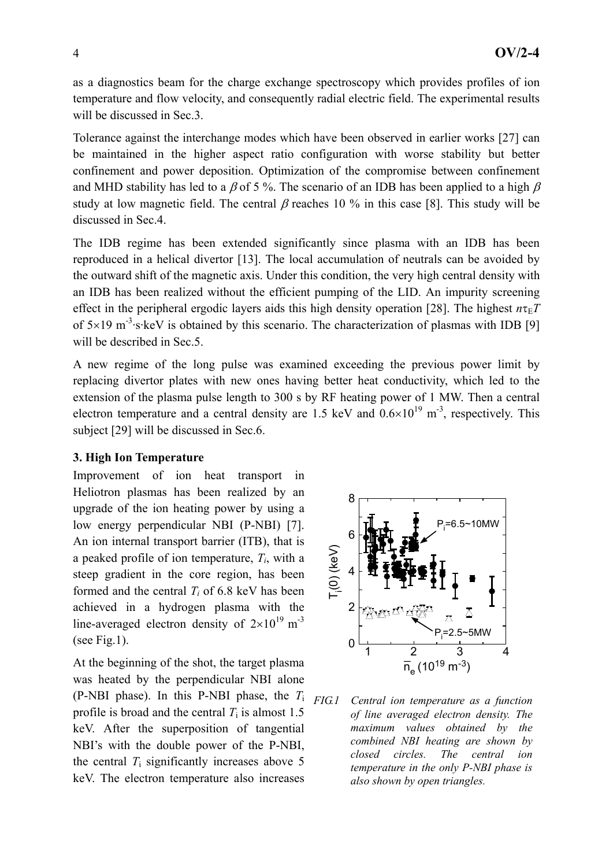as a diagnostics beam for the charge exchange spectroscopy which provides profiles of ion temperature and flow velocity, and consequently radial electric field. The experimental results will be discussed in Sec.3.

Tolerance against the interchange modes which have been observed in earlier works [27] can be maintained in the higher aspect ratio configuration with worse stability but better confinement and power deposition. Optimization of the compromise between confinement and MHD stability has led to a  $\beta$  of 5 %. The scenario of an IDB has been applied to a high  $\beta$ study at low magnetic field. The central  $\beta$  reaches 10 % in this case [8]. This study will be discussed in Sec.4.

The IDB regime has been extended significantly since plasma with an IDB has been reproduced in a helical divertor [13]. The local accumulation of neutrals can be avoided by the outward shift of the magnetic axis. Under this condition, the very high central density with an IDB has been realized without the efficient pumping of the LID. An impurity screening effect in the peripheral ergodic layers aids this high density operation [28]. The highest  $n\tau_{E}T$ of  $5\times19$  m<sup>-3</sup>·s·keV is obtained by this scenario. The characterization of plasmas with IDB [9] will be described in Sec.5.

A new regime of the long pulse was examined exceeding the previous power limit by replacing divertor plates with new ones having better heat conductivity, which led to the extension of the plasma pulse length to 300 s by RF heating power of 1 MW. Then a central electron temperature and a central density are 1.5 keV and  $0.6\times10^{19}$  m<sup>-3</sup>, respectively. This subject [29] will be discussed in Sec.6.

#### **3. High Ion Temperature**

Improvement of ion heat transport in Heliotron plasmas has been realized by an upgrade of the ion heating power by using a low energy perpendicular NBI (P-NBI) [7]. An ion internal transport barrier (ITB), that is a peaked profile of ion temperature, *Ti*, with a steep gradient in the core region, has been formed and the central  $T_i$  of 6.8 keV has been achieved in a hydrogen plasma with the line-averaged electron density of  $2\times10^{19}$  m<sup>-3</sup> (see Fig.1).

At the beginning of the shot, the target plasma was heated by the perpendicular NBI alone (P-NBI phase). In this P-NBI phase, the *T*<sup>i</sup> profile is broad and the central  $T_i$  is almost 1.5 keV. After the superposition of tangential NBI's with the double power of the P-NBI, the central *T*i significantly increases above 5 keV. The electron temperature also increases



*FIG.1 Central ion temperature as a function of line averaged electron density. The maximum values obtained by the combined NBI heating are shown by closed circles. The central ion temperature in the only P-NBI phase is also shown by open triangles.*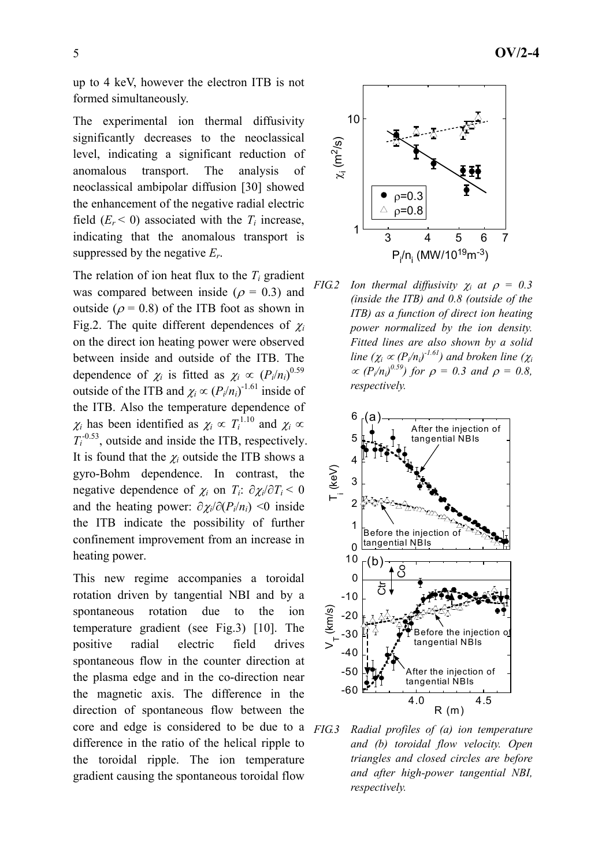up to 4 keV, however the electron ITB is not formed simultaneously.

The experimental ion thermal diffusivity significantly decreases to the neoclassical level, indicating a significant reduction of anomalous transport. The analysis of neoclassical ambipolar diffusion [30] showed the enhancement of the negative radial electric field  $(E_r \le 0)$  associated with the  $T_i$  increase, indicating that the anomalous transport is suppressed by the negative *Er*.

The relation of ion heat flux to the  $T_i$  gradient was compared between inside ( $\rho = 0.3$ ) and outside ( $\rho$  = 0.8) of the ITB foot as shown in Fig.2. The quite different dependences of  $\chi_i$ on the direct ion heating power were observed between inside and outside of the ITB. The dependence of  $\chi_i$  is fitted as  $\chi_i \propto (P_i/n_i)^{0.59}$ outside of the ITB and  $\chi_i \propto (P_i/n_i)^{-1.61}$  inside of the ITB. Also the temperature dependence of  $\chi_i$  has been identified as  $\chi_i \propto T_i^{1.10}$  and  $\chi_i \propto$  $T_i$ <sup>-0.53</sup>, outside and inside the ITB, respectively. It is found that the  $\chi_i$  outside the ITB shows a gyro-Bohm dependence. In contrast, the negative dependence of  $\chi_i$  on  $T_i$ :  $\partial \chi_i / \partial T_i < 0$ and the heating power:  $\partial \chi_i / \partial (P_i / n_i)$  <0 inside the ITB indicate the possibility of further confinement improvement from an increase in heating power.

This new regime accompanies a toroidal rotation driven by tangential NBI and by a spontaneous rotation due to the ion temperature gradient (see Fig.3) [10]. The positive radial electric field drives spontaneous flow in the counter direction at the plasma edge and in the co-direction near the magnetic axis. The difference in the direction of spontaneous flow between the core and edge is considered to be due to a difference in the ratio of the helical ripple to the toroidal ripple. The ion temperature gradient causing the spontaneous toroidal flow







*FIG.3 Radial profiles of (a) ion temperature and (b) toroidal flow velocity. Open triangles and closed circles are before and after high-power tangential NBI, respectively.*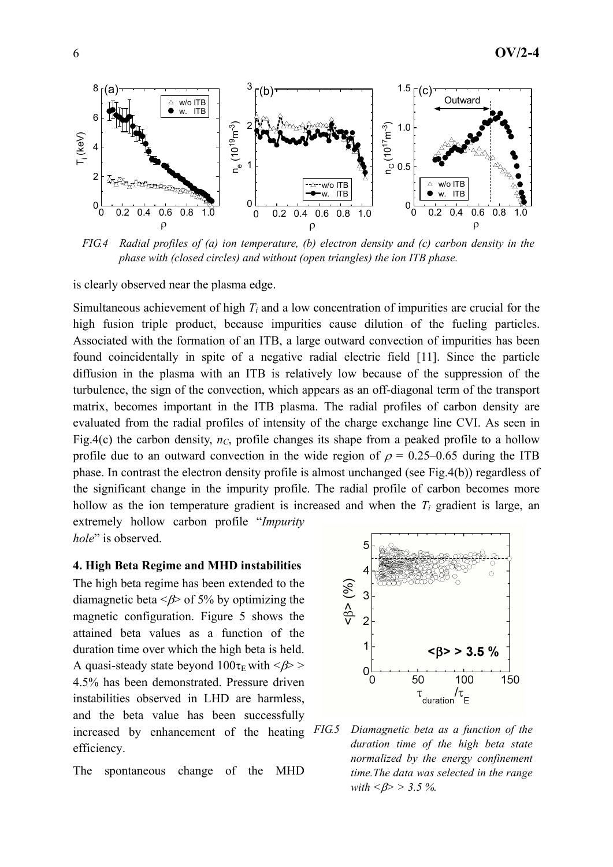

*FIG.4 Radial profiles of (a) ion temperature, (b) electron density and (c) carbon density in the phase with (closed circles) and without (open triangles) the ion ITB phase.* 

is clearly observed near the plasma edge.

Simultaneous achievement of high  $T_i$  and a low concentration of impurities are crucial for the high fusion triple product, because impurities cause dilution of the fueling particles. Associated with the formation of an ITB, a large outward convection of impurities has been found coincidentally in spite of a negative radial electric field [11]. Since the particle diffusion in the plasma with an ITB is relatively low because of the suppression of the turbulence, the sign of the convection, which appears as an off-diagonal term of the transport matrix, becomes important in the ITB plasma. The radial profiles of carbon density are evaluated from the radial profiles of intensity of the charge exchange line CVI. As seen in Fig.4(c) the carbon density,  $n_c$ , profile changes its shape from a peaked profile to a hollow profile due to an outward convection in the wide region of  $\rho = 0.25{\text -}0.65$  during the ITB phase. In contrast the electron density profile is almost unchanged (see Fig.4(b)) regardless of the significant change in the impurity profile. The radial profile of carbon becomes more hollow as the ion temperature gradient is increased and when the  $T_i$  gradient is large, an extremely hollow carbon profile "*Impurity hole*" is observed.

#### **4. High Beta Regime and MHD instabilities**

The high beta regime has been extended to the diamagnetic beta  $\leq \beta$  of 5% by optimizing the magnetic configuration. Figure 5 shows the attained beta values as a function of the duration time over which the high beta is held. A quasi-steady state beyond  $100\tau_E$  with  $\langle \beta \rangle$  > 4.5% has been demonstrated. Pressure driven instabilities observed in LHD are harmless, and the beta value has been successfully increased by enhancement of the heating FIG5 efficiency.

The spontaneous change of the MHD



*FIG.5 Diamagnetic beta as a function of the duration time of the high beta state normalized by the energy confinement time.The data was selected in the range with <*β*> > 3.5 %.*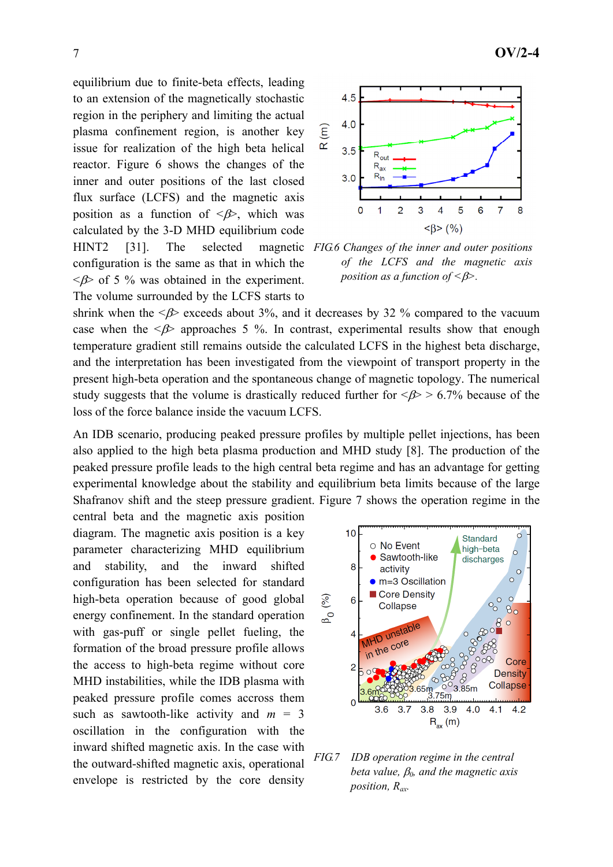equilibrium due to finite-beta effects, leading to an extension of the magnetically stochastic region in the periphery and limiting the actual plasma confinement region, is another key issue for realization of the high beta helical reactor. Figure 6 shows the changes of the inner and outer positions of the last closed flux surface (LCFS) and the magnetic axis position as a function of  $\langle \beta \rangle$ , which was calculated by the 3-D MHD equilibrium code HINT2 [31]. The selected magnetic *FIG.6 Changes of the inner and outer positions*  configuration is the same as that in which the  $\langle \beta \rangle$  of 5 % was obtained in the experiment. The volume surrounded by the LCFS starts to



*of the LCFS and the magnetic axis position as a function of <*β*>.*

shrink when the  $\langle \beta \rangle$  exceeds about 3%, and it decreases by 32 % compared to the vacuum case when the  $\leq$   $\beta$  approaches 5 %. In contrast, experimental results show that enough temperature gradient still remains outside the calculated LCFS in the highest beta discharge, and the interpretation has been investigated from the viewpoint of transport property in the present high-beta operation and the spontaneous change of magnetic topology. The numerical study suggests that the volume is drastically reduced further for  $\langle \beta \rangle > 6.7\%$  because of the loss of the force balance inside the vacuum LCFS.

An IDB scenario, producing peaked pressure profiles by multiple pellet injections, has been also applied to the high beta plasma production and MHD study [8]. The production of the peaked pressure profile leads to the high central beta regime and has an advantage for getting experimental knowledge about the stability and equilibrium beta limits because of the large Shafranov shift and the steep pressure gradient. Figure 7 shows the operation regime in the

central beta and the magnetic axis position diagram. The magnetic axis position is a key parameter characterizing MHD equilibrium and stability, and the inward shifted configuration has been selected for standard high-beta operation because of good global energy confinement. In the standard operation with gas-puff or single pellet fueling, the formation of the broad pressure profile allows the access to high-beta regime without core MHD instabilities, while the IDB plasma with peaked pressure profile comes accross them such as sawtooth-like activity and  $m = 3$ oscillation in the configuration with the inward shifted magnetic axis. In the case with the outward-shifted magnetic axis, operational envelope is restricted by the core density



*FIG.7 IDB operation regime in the central beta value,* β*0, and the magnetic axis position, Rax.*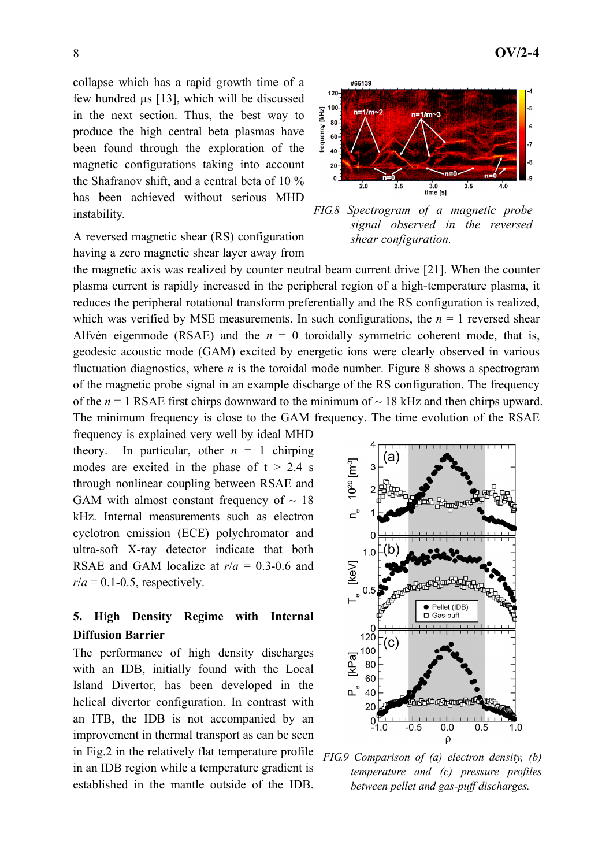collapse which has a rapid growth time of a few hundred μs [13], which will be discussed in the next section. Thus, the best way to produce the high central beta plasmas have been found through the exploration of the magnetic configurations taking into account the Shafranov shift, and a central beta of 10 % has been achieved without serious MHD instability.

A reversed magnetic shear (RS) configuration having a zero magnetic shear layer away from

the magnetic axis was realized by counter neutral beam current drive [21]. When the counter plasma current is rapidly increased in the peripheral region of a high-temperature plasma, it reduces the peripheral rotational transform preferentially and the RS configuration is realized, which was verified by MSE measurements. In such configurations, the  $n = 1$  reversed shear Alfvén eigenmode (RSAE) and the  $n = 0$  toroidally symmetric coherent mode, that is, geodesic acoustic mode (GAM) excited by energetic ions were clearly observed in various fluctuation diagnostics, where *n* is the toroidal mode number. Figure 8 shows a spectrogram of the magnetic probe signal in an example discharge of the RS configuration. The frequency of the  $n = 1$  RSAE first chirps downward to the minimum of  $\sim 18$  kHz and then chirps upward. The minimum frequency is close to the GAM frequency. The time evolution of the RSAE

frequency is explained very well by ideal MHD theory. In particular, other  $n = 1$  chirping modes are excited in the phase of  $t > 2.4$  s through nonlinear coupling between RSAE and GAM with almost constant frequency of  $\sim$  18 kHz. Internal measurements such as electron cyclotron emission (ECE) polychromator and ultra-soft X-ray detector indicate that both RSAE and GAM localize at *r*/*a* = 0.3-0.6 and  $r/a = 0.1$ -0.5, respectively.

# **5. High Density Regime with Internal Diffusion Barrier**

The performance of high density discharges with an IDB, initially found with the Local Island Divertor, has been developed in the helical divertor configuration. In contrast with an ITB, the IDB is not accompanied by an improvement in thermal transport as can be seen in Fig.2 in the relatively flat temperature profile in an IDB region while a temperature gradient is established in the mantle outside of the IDB.



*FIG.9 Comparison of (a) electron density, (b) temperature and (c) pressure profiles between pellet and gas-puff discharges.* 



*FIG.8 Spectrogram of a magnetic probe signal observed in the reversed shear configuration.*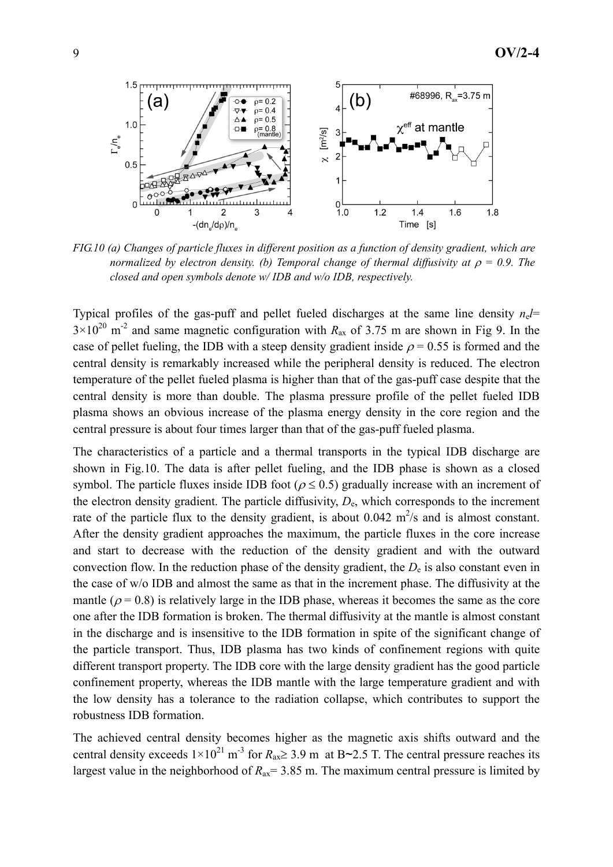

*FIG.10 (a) Changes of particle fluxes in different position as a function of density gradient, which are normalized by electron density. (b) Temporal change of thermal diffusivity at*  $\rho = 0.9$ . The *closed and open symbols denote w/ IDB and w/o IDB, respectively.*

Typical profiles of the gas-puff and pellet fueled discharges at the same line density  $n_e l$ =  $3 \times 10^{20}$  m<sup>-2</sup> and same magnetic configuration with  $R_{ax}$  of 3.75 m are shown in Fig 9. In the case of pellet fueling, the IDB with a steep density gradient inside  $\rho = 0.55$  is formed and the central density is remarkably increased while the peripheral density is reduced. The electron temperature of the pellet fueled plasma is higher than that of the gas-puff case despite that the central density is more than double. The plasma pressure profile of the pellet fueled IDB plasma shows an obvious increase of the plasma energy density in the core region and the central pressure is about four times larger than that of the gas-puff fueled plasma.

The characteristics of a particle and a thermal transports in the typical IDB discharge are shown in Fig.10. The data is after pellet fueling, and the IDB phase is shown as a closed symbol. The particle fluxes inside IDB foot ( $\rho \le 0.5$ ) gradually increase with an increment of the electron density gradient. The particle diffusivity,  $D_{\rm e}$ , which corresponds to the increment rate of the particle flux to the density gradient, is about  $0.042 \text{ m}^2/\text{s}$  and is almost constant. After the density gradient approaches the maximum, the particle fluxes in the core increase and start to decrease with the reduction of the density gradient and with the outward convection flow. In the reduction phase of the density gradient, the  $D<sub>e</sub>$  is also constant even in the case of w/o IDB and almost the same as that in the increment phase. The diffusivity at the mantle ( $\rho$  = 0.8) is relatively large in the IDB phase, whereas it becomes the same as the core one after the IDB formation is broken. The thermal diffusivity at the mantle is almost constant in the discharge and is insensitive to the IDB formation in spite of the significant change of the particle transport. Thus, IDB plasma has two kinds of confinement regions with quite different transport property. The IDB core with the large density gradient has the good particle confinement property, whereas the IDB mantle with the large temperature gradient and with the low density has a tolerance to the radiation collapse, which contributes to support the robustness IDB formation.

The achieved central density becomes higher as the magnetic axis shifts outward and the central density exceeds  $1 \times 10^{21}$  m<sup>-3</sup> for  $R_{ax} \ge 3.9$  m at B~2.5 T. The central pressure reaches its largest value in the neighborhood of  $R_{ax}$  = 3.85 m. The maximum central pressure is limited by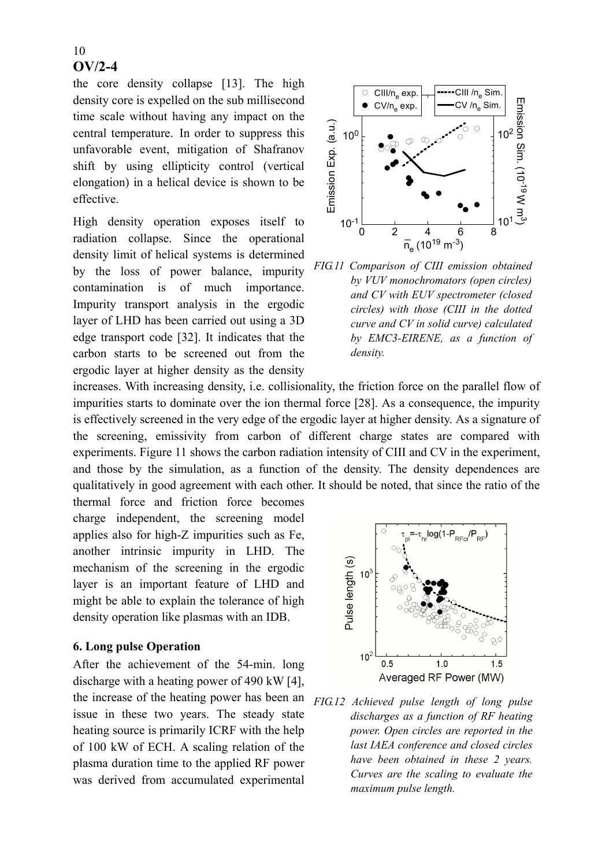#### 10 **OV/2-4**

the core density collapse [13]. The high density core is expelled on the sub millisecond time scale without having any impact on the central temperature. In order to suppress this unfavorable event, mitigation of Shafranov shift by using ellipticity control (vertical elongation) in a helical device is shown to be effective.

High density operation exposes itself to radiation collapse. Since the operational density limit of helical systems is determined by the loss of power balance, impurity contamination is of much importance. Impurity transport analysis in the ergodic layer of LHD has been carried out using a 3D edge transport code [32]. It indicates that the carbon starts to be screened out from the ergodic layer at higher density as the density



*FIG.11 Comparison of CIII emission obtained by VUV monochromators (open circles) and CV with EUV spectrometer (closed circles) with those (CIII in the dotted curve and CV in solid curve) calculated by EMC3-EIRENE, as a function of density.*

increases. With increasing density, i.e. collisionality, the friction force on the parallel flow of impurities starts to dominate over the ion thermal force [28]. As a consequence, the impurity is effectively screened in the very edge of the ergodic layer at higher density. As a signature of the screening, emissivity from carbon of different charge states are compared with experiments. Figure 11 shows the carbon radiation intensity of CIII and CV in the experiment, and those by the simulation, as a function of the density. The density dependences are qualitatively in good agreement with each other. It should be noted, that since the ratio of the

thermal force and friction force becomes charge independent, the screening model applies also for high-Z impurities such as Fe, another intrinsic impurity in LHD. The mechanism of the screening in the ergodic layer is an important feature of LHD and might be able to explain the tolerance of high density operation like plasmas with an IDB.

#### **6. Long pulse Operation**

After the achievement of the 54-min. long discharge with a heating power of 490 kW [4], the increase of the heating power has been an issue in these two years. The steady state heating source is primarily ICRF with the help of 100 kW of ECH. A scaling relation of the plasma duration time to the applied RF power was derived from accumulated experimental



*FIG.12 Achieved pulse length of long pulse discharges as a function of RF heating power. Open circles are reported in the last IAEA conference and closed circles have been obtained in these 2 years. Curves are the scaling to evaluate the maximum pulse length.*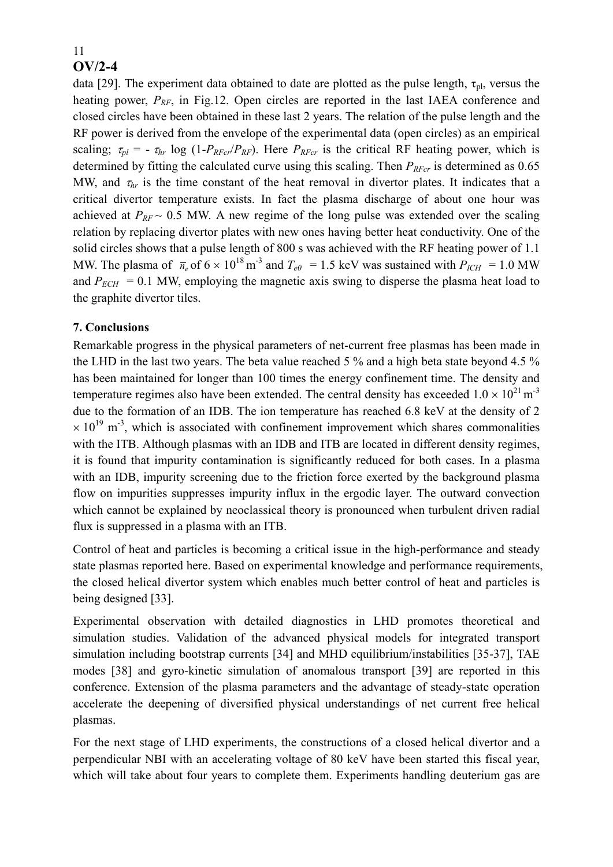#### 11 **OV/2-4**

data [29]. The experiment data obtained to date are plotted as the pulse length,  $\tau_{\text{pl}}$ , versus the heating power,  $P_{RF}$ , in Fig.12. Open circles are reported in the last IAEA conference and closed circles have been obtained in these last 2 years. The relation of the pulse length and the RF power is derived from the envelope of the experimental data (open circles) as an empirical scaling;  $\tau_{pl} = -\tau_{hr} \log (1-P_{RFC}/P_{RF})$ . Here  $P_{RFC}$  is the critical RF heating power, which is determined by fitting the calculated curve using this scaling. Then  $P_{R\text{F}cr}$  is determined as 0.65 MW, and  $\tau_{hr}$  is the time constant of the heat removal in divertor plates. It indicates that a critical divertor temperature exists. In fact the plasma discharge of about one hour was achieved at  $P_{RF} \sim 0.5$  MW. A new regime of the long pulse was extended over the scaling relation by replacing divertor plates with new ones having better heat conductivity. One of the solid circles shows that a pulse length of 800 s was achieved with the RF heating power of 1.1 MW. The plasma of  $\bar{n}_e$  of  $6 \times 10^{18}$  m<sup>-3</sup> and  $T_{e0} = 1.5$  keV was sustained with  $P_{ICH} = 1.0$  MW and  $P_{ECH} = 0.1$  MW, employing the magnetic axis swing to disperse the plasma heat load to the graphite divertor tiles.

# **7. Conclusions**

Remarkable progress in the physical parameters of net-current free plasmas has been made in the LHD in the last two years. The beta value reached 5 % and a high beta state beyond 4.5 % has been maintained for longer than 100 times the energy confinement time. The density and temperature regimes also have been extended. The central density has exceeded  $1.0 \times 10^{21}$  m<sup>-3</sup> due to the formation of an IDB. The ion temperature has reached 6.8 keV at the density of 2  $\times$  10<sup>19</sup> m<sup>-3</sup>, which is associated with confinement improvement which shares commonalities with the ITB. Although plasmas with an IDB and ITB are located in different density regimes, it is found that impurity contamination is significantly reduced for both cases. In a plasma with an IDB, impurity screening due to the friction force exerted by the background plasma flow on impurities suppresses impurity influx in the ergodic layer. The outward convection which cannot be explained by neoclassical theory is pronounced when turbulent driven radial flux is suppressed in a plasma with an ITB.

Control of heat and particles is becoming a critical issue in the high-performance and steady state plasmas reported here. Based on experimental knowledge and performance requirements, the closed helical divertor system which enables much better control of heat and particles is being designed [33].

Experimental observation with detailed diagnostics in LHD promotes theoretical and simulation studies. Validation of the advanced physical models for integrated transport simulation including bootstrap currents [34] and MHD equilibrium/instabilities [35-37], TAE modes [38] and gyro-kinetic simulation of anomalous transport [39] are reported in this conference. Extension of the plasma parameters and the advantage of steady-state operation accelerate the deepening of diversified physical understandings of net current free helical plasmas.

For the next stage of LHD experiments, the constructions of a closed helical divertor and a perpendicular NBI with an accelerating voltage of 80 keV have been started this fiscal year, which will take about four years to complete them. Experiments handling deuterium gas are